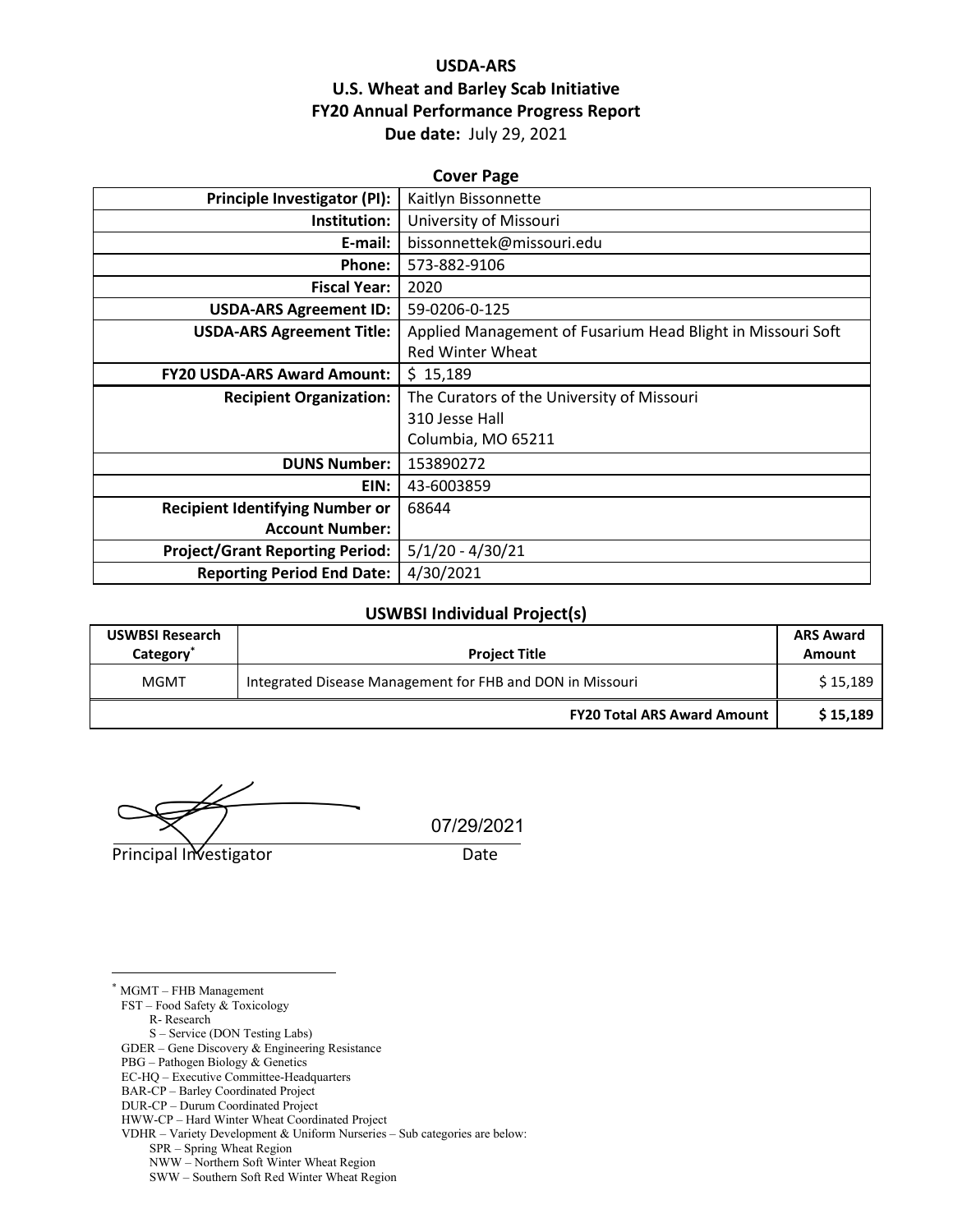# **USDA-ARS U.S. Wheat and Barley Scab Initiative FY20 Annual Performance Progress Report Due date:** July 29, 2021

| <b>Cover Page</b>                      |                                                             |  |  |  |  |
|----------------------------------------|-------------------------------------------------------------|--|--|--|--|
| Principle Investigator (PI):           | Kaitlyn Bissonnette                                         |  |  |  |  |
| Institution:                           | University of Missouri                                      |  |  |  |  |
| E-mail:                                | bissonnettek@missouri.edu                                   |  |  |  |  |
| Phone:                                 | 573-882-9106                                                |  |  |  |  |
| <b>Fiscal Year:</b>                    | 2020                                                        |  |  |  |  |
| <b>USDA-ARS Agreement ID:</b>          | 59-0206-0-125                                               |  |  |  |  |
| <b>USDA-ARS Agreement Title:</b>       | Applied Management of Fusarium Head Blight in Missouri Soft |  |  |  |  |
|                                        | <b>Red Winter Wheat</b>                                     |  |  |  |  |
| <b>FY20 USDA-ARS Award Amount:</b>     | \$15,189                                                    |  |  |  |  |
| <b>Recipient Organization:</b>         | The Curators of the University of Missouri                  |  |  |  |  |
|                                        | 310 Jesse Hall                                              |  |  |  |  |
|                                        | Columbia, MO 65211                                          |  |  |  |  |
| <b>DUNS Number:</b>                    | 153890272                                                   |  |  |  |  |
| EIN:                                   | 43-6003859                                                  |  |  |  |  |
| <b>Recipient Identifying Number or</b> | 68644                                                       |  |  |  |  |
| <b>Account Number:</b>                 |                                                             |  |  |  |  |
| <b>Project/Grant Reporting Period:</b> | $5/1/20 - 4/30/21$                                          |  |  |  |  |
| <b>Reporting Period End Date:</b>      | 4/30/2021                                                   |  |  |  |  |

#### **USWBSI Individual Project(s)**

| <b>USWBSI Research</b><br>Category <sup>®</sup> | <b>Project Title</b>                                      | <b>ARS Award</b><br>Amount |
|-------------------------------------------------|-----------------------------------------------------------|----------------------------|
| MGMT                                            | Integrated Disease Management for FHB and DON in Missouri | \$15,189                   |
|                                                 | <b>FY20 Total ARS Award Amount</b>                        | \$15,189                   |

Principal Investigator **Date** 

07/29/2021

\* MGMT – FHB Management

FST – Food Safety & Toxicology

R- Research

S – Service (DON Testing Labs)

GDER – Gene Discovery & Engineering Resistance

PBG – Pathogen Biology & Genetics

EC-HQ – Executive Committee-Headquarters

BAR-CP – Barley Coordinated Project

DUR-CP – Durum Coordinated Project

HWW-CP – Hard Winter Wheat Coordinated Project

VDHR – Variety Development & Uniform Nurseries – Sub categories are below:

SPR – Spring Wheat Region

NWW – Northern Soft Winter Wheat Region

SWW – Southern Soft Red Winter Wheat Region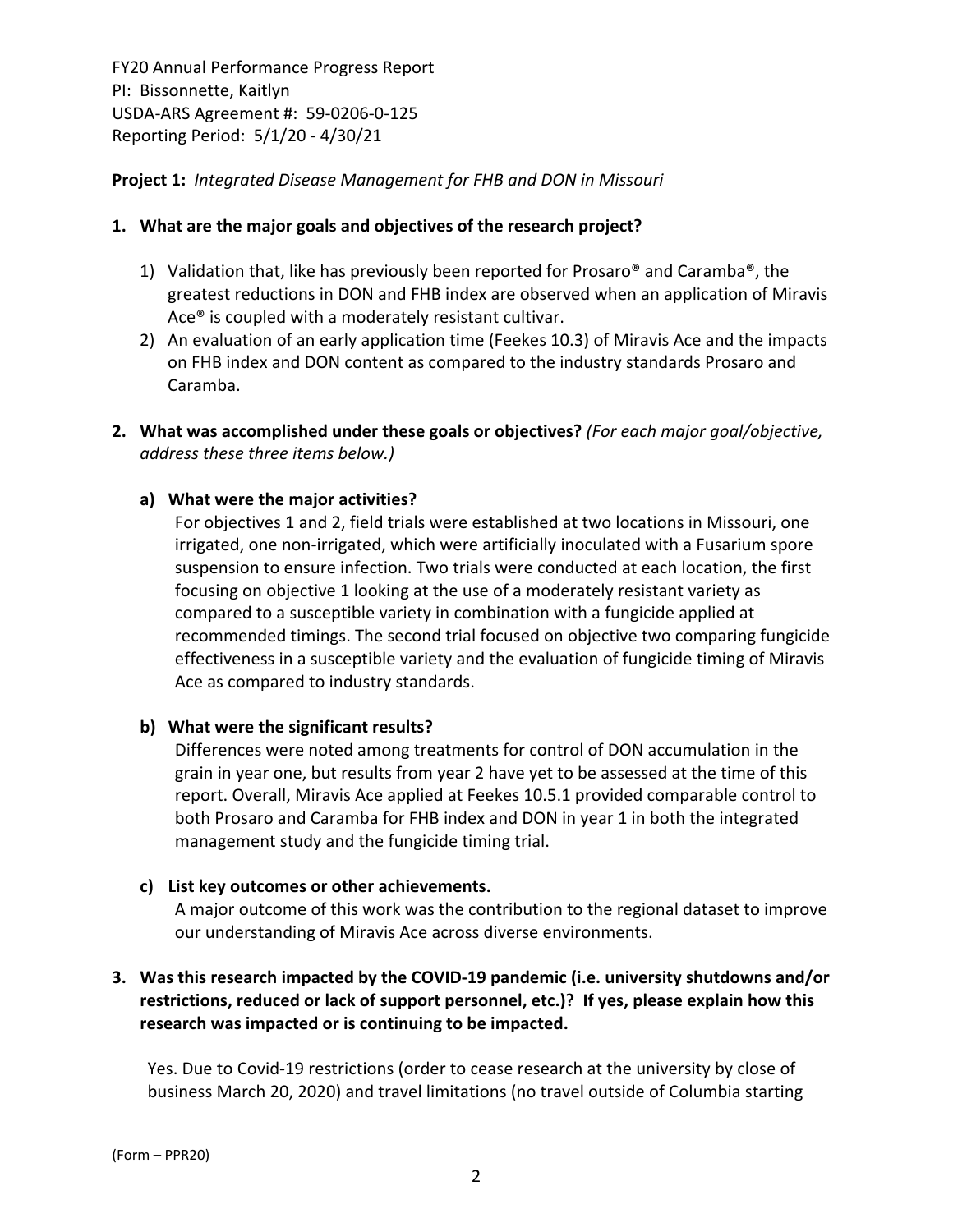# **Project 1:** *Integrated Disease Management for FHB and DON in Missouri*

### **1. What are the major goals and objectives of the research project?**

- 1) Validation that, like has previously been reported for Prosaro<sup>®</sup> and Caramba<sup>®</sup>, the greatest reductions in DON and FHB index are observed when an application of Miravis Ace® is coupled with a moderately resistant cultivar.
- 2) An evaluation of an early application time (Feekes 10.3) of Miravis Ace and the impacts on FHB index and DON content as compared to the industry standards Prosaro and Caramba.
- **2. What was accomplished under these goals or objectives?** *(For each major goal/objective, address these three items below.)*

# **a) What were the major activities?**

For objectives 1 and 2, field trials were established at two locations in Missouri, one irrigated, one non‐irrigated, which were artificially inoculated with a Fusarium spore suspension to ensure infection. Two trials were conducted at each location, the first focusing on objective 1 looking at the use of a moderately resistant variety as compared to a susceptible variety in combination with a fungicide applied at recommended timings. The second trial focused on objective two comparing fungicide effectiveness in a susceptible variety and the evaluation of fungicide timing of Miravis Ace as compared to industry standards.

### **b) What were the significant results?**

Differences were noted among treatments for control of DON accumulation in the grain in year one, but results from year 2 have yet to be assessed at the time of this report. Overall, Miravis Ace applied at Feekes 10.5.1 provided comparable control to both Prosaro and Caramba for FHB index and DON in year 1 in both the integrated management study and the fungicide timing trial.

### **c) List key outcomes or other achievements.**

A major outcome of this work was the contribution to the regional dataset to improve our understanding of Miravis Ace across diverse environments.

# **3. Was this research impacted by the COVID‐19 pandemic (i.e. university shutdowns and/or restrictions, reduced or lack of support personnel, etc.)? If yes, please explain how this research was impacted or is continuing to be impacted.**

Yes. Due to Covid‐19 restrictions (order to cease research at the university by close of business March 20, 2020) and travel limitations (no travel outside of Columbia starting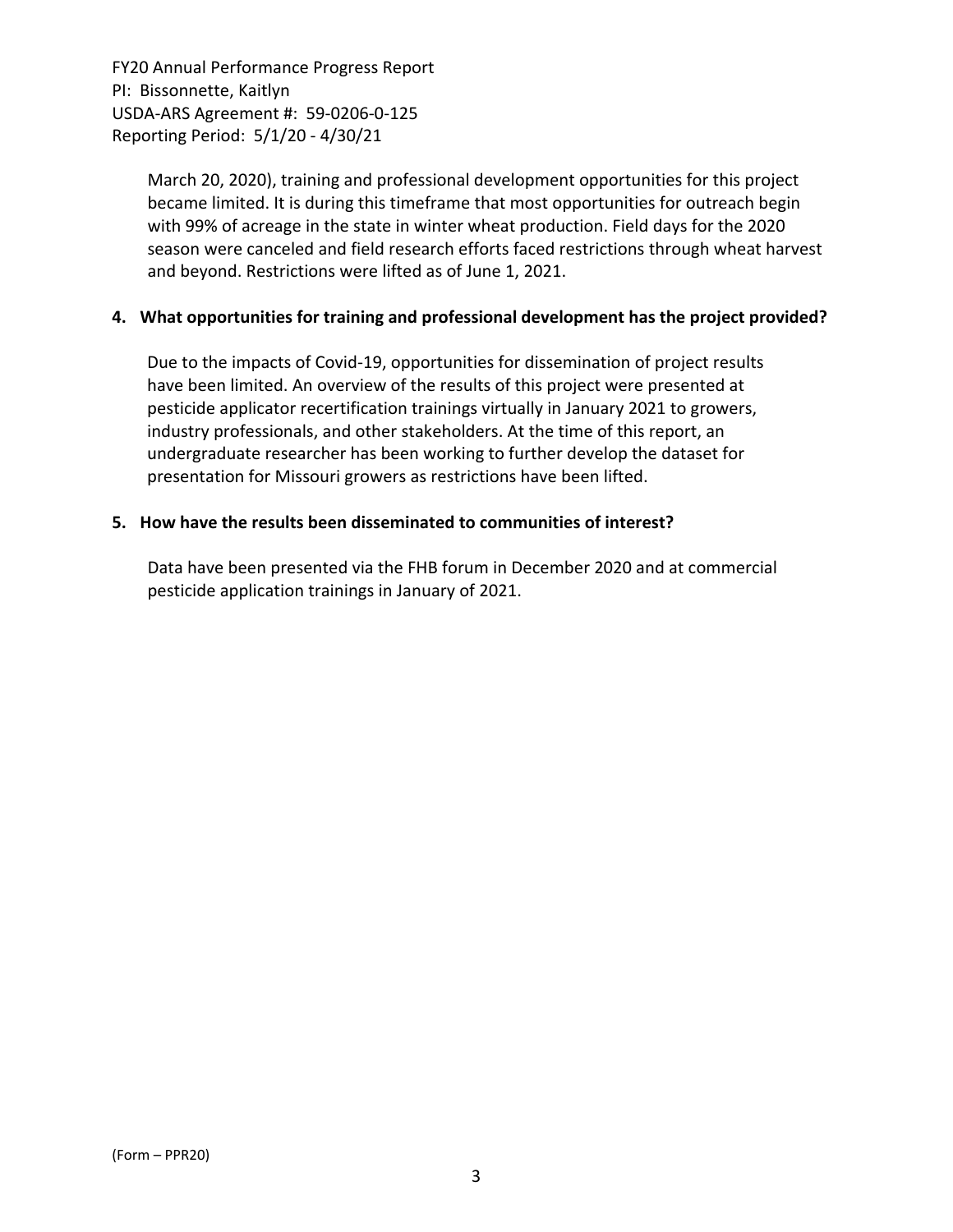> March 20, 2020), training and professional development opportunities for this project became limited. It is during this timeframe that most opportunities for outreach begin with 99% of acreage in the state in winter wheat production. Field days for the 2020 season were canceled and field research efforts faced restrictions through wheat harvest and beyond. Restrictions were lifted as of June 1, 2021.

# **4. What opportunities for training and professional development has the project provided?**

Due to the impacts of Covid‐19, opportunities for dissemination of project results have been limited. An overview of the results of this project were presented at pesticide applicator recertification trainings virtually in January 2021 to growers, industry professionals, and other stakeholders. At the time of this report, an undergraduate researcher has been working to further develop the dataset for presentation for Missouri growers as restrictions have been lifted.

### **5. How have the results been disseminated to communities of interest?**

Data have been presented via the FHB forum in December 2020 and at commercial pesticide application trainings in January of 2021.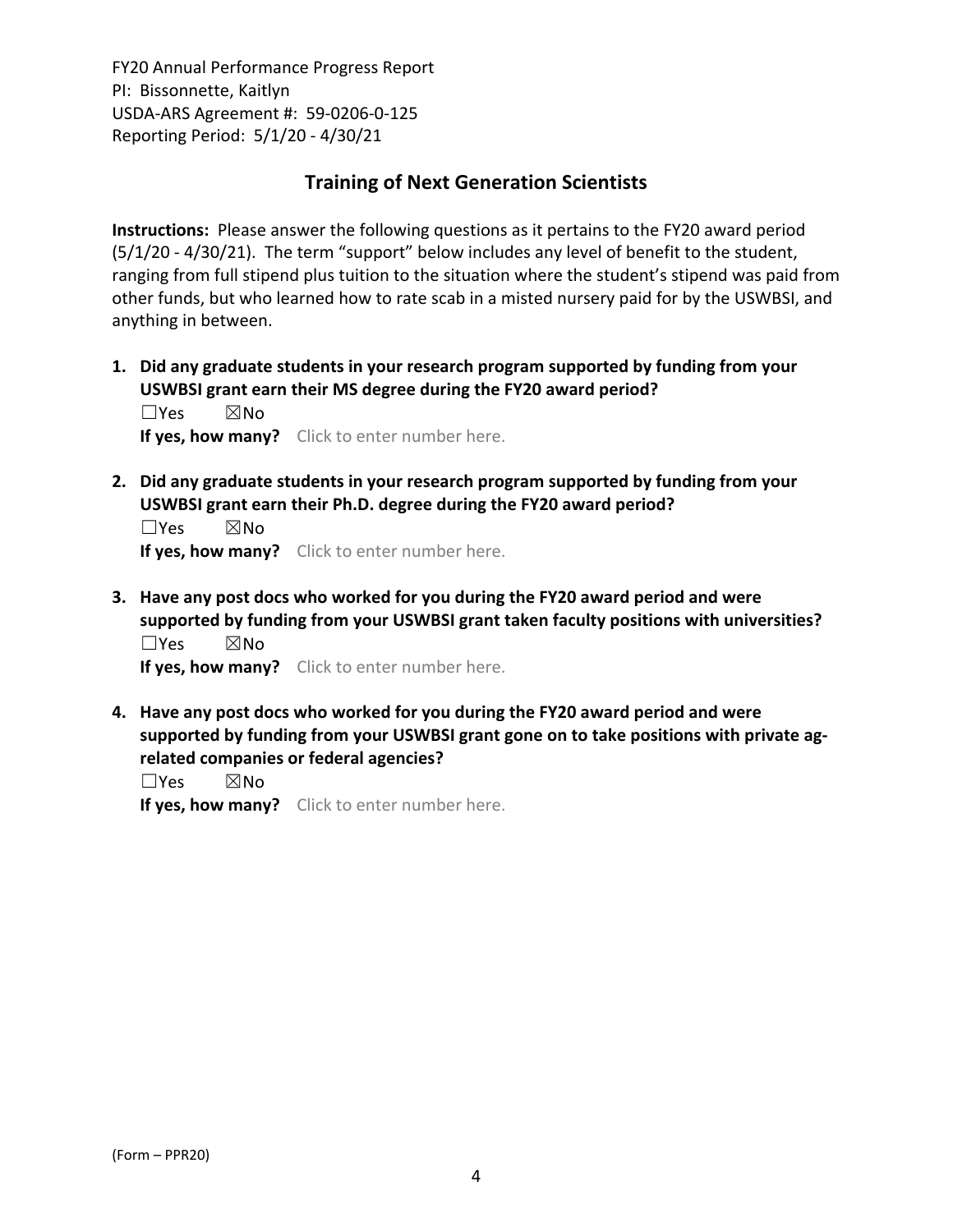# **Training of Next Generation Scientists**

**Instructions:** Please answer the following questions as it pertains to the FY20 award period (5/1/20 ‐ 4/30/21). The term "support" below includes any level of benefit to the student, ranging from full stipend plus tuition to the situation where the student's stipend was paid from other funds, but who learned how to rate scab in a misted nursery paid for by the USWBSI, and anything in between.

**1. Did any graduate students in your research program supported by funding from your USWBSI grant earn their MS degree during the FY20 award period?** ☐Yes ☒No

**If yes, how many?** Click to enter number here.

**2. Did any graduate students in your research program supported by funding from your USWBSI grant earn their Ph.D. degree during the FY20 award period?**

☐Yes ☒No **If yes, how many?** Click to enter number here.

**3. Have any post docs who worked for you during the FY20 award period and were supported by funding from your USWBSI grant taken faculty positions with universities?** ☐Yes ☒No

**If yes, how many?** Click to enter number here.

**4. Have any post docs who worked for you during the FY20 award period and were supported by funding from your USWBSI grant gone on to take positions with private ag‐ related companies or federal agencies?**

☐Yes ☒No

**If yes, how many?** Click to enter number here.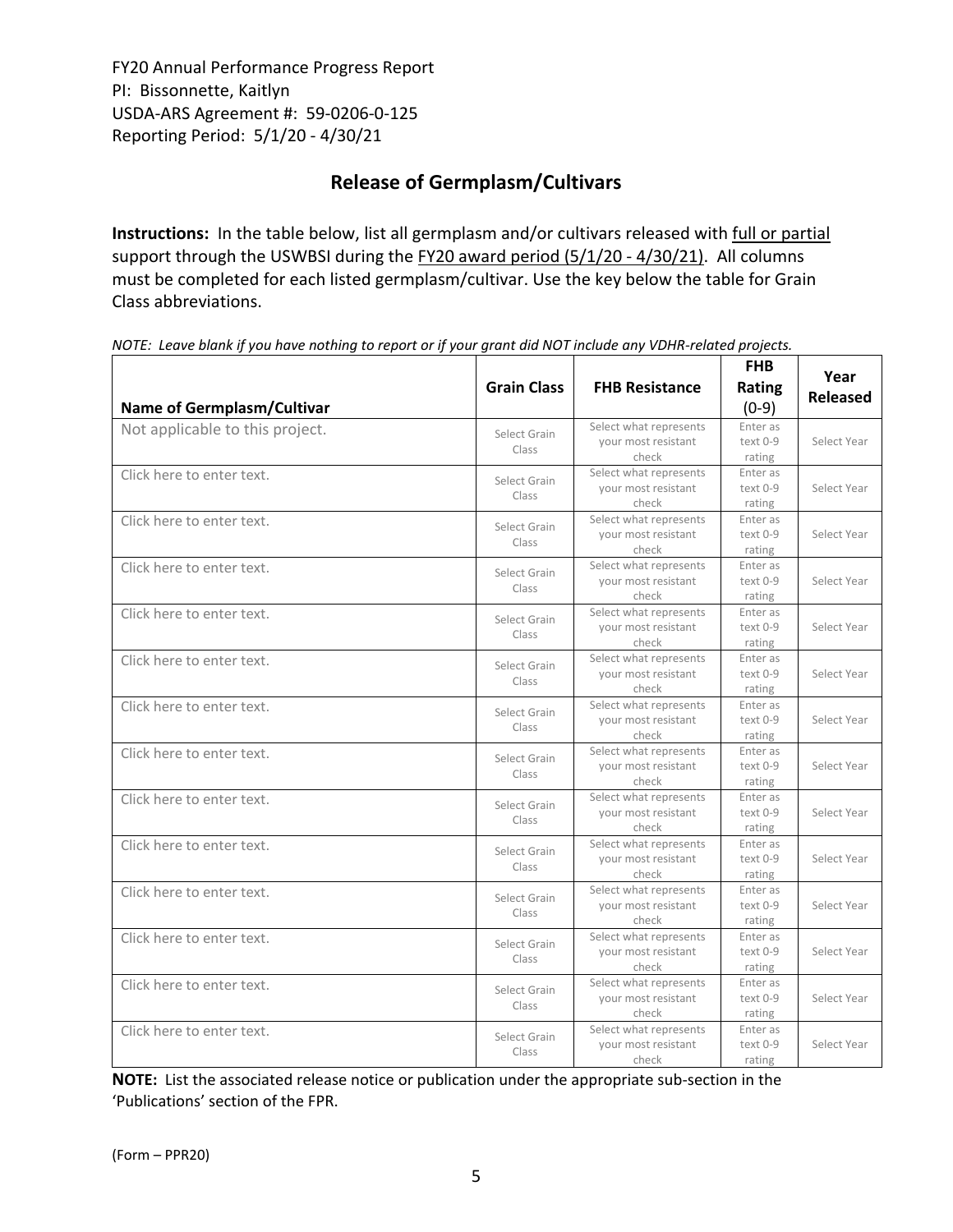# **Release of Germplasm/Cultivars**

**Instructions:** In the table below, list all germplasm and/or cultivars released with full or partial support through the USWBSI during the FY20 award period (5/1/20 - 4/30/21). All columns must be completed for each listed germplasm/cultivar. Use the key below the table for Grain Class abbreviations. 

| <b>Name of Germplasm/Cultivar</b> | <b>Grain Class</b>    | <b>FHB Resistance</b>                                  | <b>FHB</b><br>Rating<br>$(0-9)$ | Year<br><b>Released</b> |
|-----------------------------------|-----------------------|--------------------------------------------------------|---------------------------------|-------------------------|
| Not applicable to this project.   | Select Grain<br>Class | Select what represents<br>your most resistant<br>check | Enter as<br>text 0-9<br>rating  | Select Year             |
| Click here to enter text.         | Select Grain<br>Class | Select what represents<br>your most resistant<br>check | Enter as<br>text 0-9<br>rating  | Select Year             |
| Click here to enter text.         | Select Grain<br>Class | Select what represents<br>your most resistant<br>check | Enter as<br>text 0-9<br>rating  | Select Year             |
| Click here to enter text.         | Select Grain<br>Class | Select what represents<br>your most resistant<br>check | Enter as<br>text 0-9<br>rating  | Select Year             |
| Click here to enter text.         | Select Grain<br>Class | Select what represents<br>your most resistant<br>check | Enter as<br>text 0-9<br>rating  | Select Year             |
| Click here to enter text.         | Select Grain<br>Class | Select what represents<br>your most resistant<br>check | Enter as<br>text 0-9<br>rating  | Select Year             |
| Click here to enter text.         | Select Grain<br>Class | Select what represents<br>your most resistant<br>check | Enter as<br>text 0-9<br>rating  | Select Year             |
| Click here to enter text.         | Select Grain<br>Class | Select what represents<br>your most resistant<br>check | Enter as<br>text 0-9<br>rating  | Select Year             |
| Click here to enter text.         | Select Grain<br>Class | Select what represents<br>your most resistant<br>check | Enter as<br>text 0-9<br>rating  | Select Year             |
| Click here to enter text.         | Select Grain<br>Class | Select what represents<br>your most resistant<br>check | Enter as<br>text 0-9<br>rating  | Select Year             |
| Click here to enter text.         | Select Grain<br>Class | Select what represents<br>your most resistant<br>check | Enter as<br>text 0-9<br>rating  | Select Year             |
| Click here to enter text.         | Select Grain<br>Class | Select what represents<br>your most resistant<br>check | Enter as<br>text 0-9<br>rating  | Select Year             |
| Click here to enter text.         | Select Grain<br>Class | Select what represents<br>your most resistant<br>check | Enter as<br>text 0-9<br>rating  | Select Year             |
| Click here to enter text.         | Select Grain<br>Class | Select what represents<br>your most resistant<br>check | Enter as<br>text 0-9<br>rating  | Select Year             |

NOTE: Leave blank if you have nothing to report or if your grant did NOT include any VDHR-related projects.

**NOTE:** List the associated release notice or publication under the appropriate sub-section in the 'Publications' section of the FPR.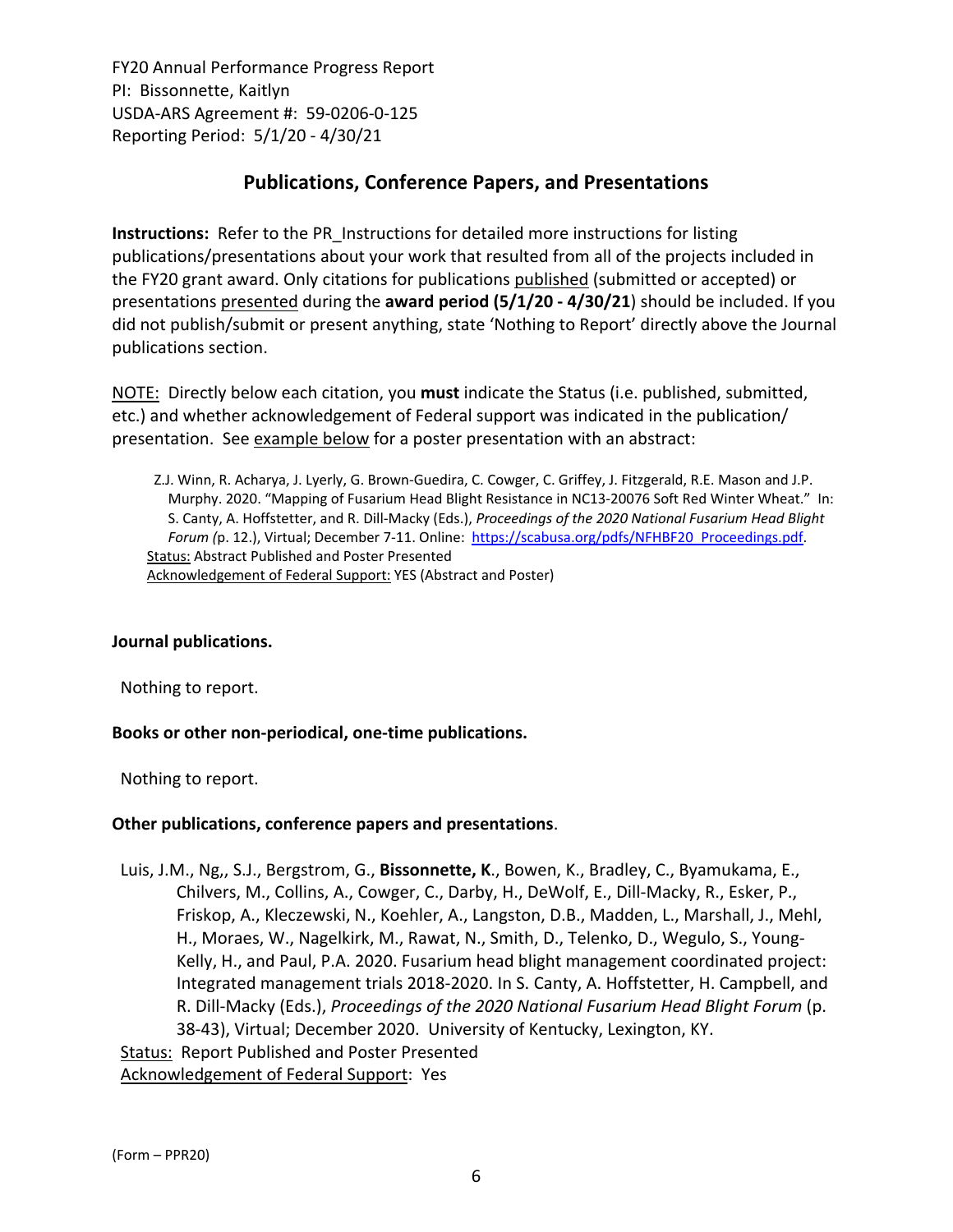# **Publications, Conference Papers, and Presentations**

**Instructions:** Refer to the PR\_Instructions for detailed more instructions for listing publications/presentations about your work that resulted from all of the projects included in the FY20 grant award. Only citations for publications published (submitted or accepted) or presentations presented during the **award period (5/1/20 ‐ 4/30/21**) should be included. If you did not publish/submit or present anything, state 'Nothing to Report' directly above the Journal publications section.

NOTE: Directly below each citation, you **must** indicate the Status (i.e. published, submitted, etc.) and whether acknowledgement of Federal support was indicated in the publication/ presentation. See example below for a poster presentation with an abstract:

Z.J. Winn, R. Acharya, J. Lyerly, G. Brown‐Guedira, C. Cowger, C. Griffey, J. Fitzgerald, R.E. Mason and J.P. Murphy. 2020. "Mapping of Fusarium Head Blight Resistance in NC13‐20076 Soft Red Winter Wheat." In: S. Canty, A. Hoffstetter, and R. Dill‐Macky (Eds.), *Proceedings of the 2020 National Fusarium Head Blight Forum (*p. 12.), Virtual; December 7‐11. Online: [https://scabusa.org/pdfs/NFHBF20\\_Proceedings.pdf.](https://scabusa.org/pdfs/NFHBF20_Proceedings.pdf) Status: Abstract Published and Poster Presented Acknowledgement of Federal Support: YES (Abstract and Poster)

### **Journal publications.**

Nothing to report.

### **Books or other non‐periodical, one‐time publications.**

Nothing to report.

### **Other publications, conference papers and presentations**.

Luis, J.M., Ng,, S.J., Bergstrom, G., **Bissonnette, K**., Bowen, K., Bradley, C., Byamukama, E., Chilvers, M., Collins, A., Cowger, C., Darby, H., DeWolf, E., Dill‐Macky, R., Esker, P., Friskop, A., Kleczewski, N., Koehler, A., Langston, D.B., Madden, L., Marshall, J., Mehl, H., Moraes, W., Nagelkirk, M., Rawat, N., Smith, D., Telenko, D., Wegulo, S., Young‐ Kelly, H., and Paul, P.A. 2020. Fusarium head blight management coordinated project: Integrated management trials 2018‐2020. In S. Canty, A. Hoffstetter, H. Campbell, and R. Dill‐Macky (Eds.), *Proceedings of the 2020 National Fusarium Head Blight Forum* (p. 38‐43), Virtual; December 2020. University of Kentucky, Lexington, KY. Status: Report Published and Poster Presented Acknowledgement of Federal Support: Yes